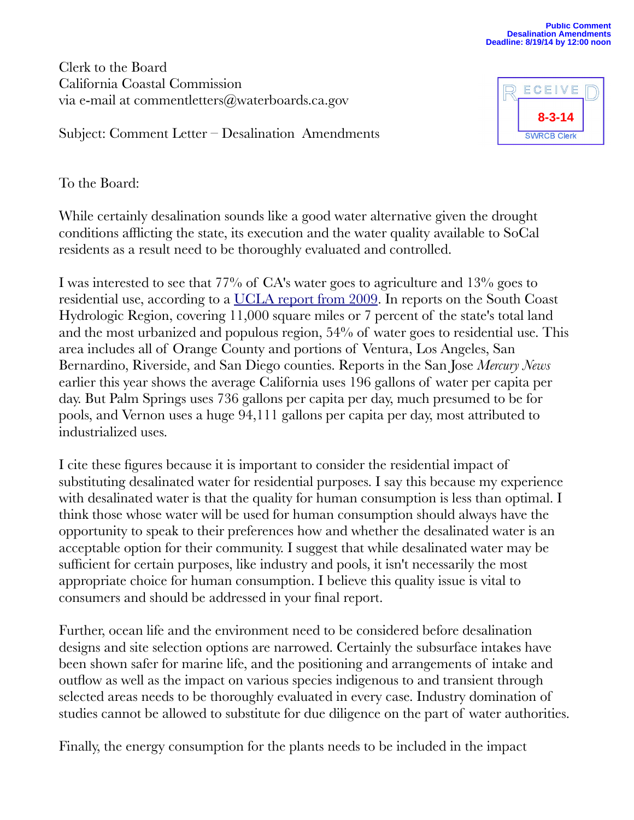Clerk to the Board California Coastal Commission via e-mail at commentletters@waterboards.ca.gov



Subject: Comment Letter – Desalination Amendments

To the Board:

While certainly desalination sounds like a good water alternative given the drought conditions afflicting the state, its execution and the water quality available to SoCal residents as a result need to be thoroughly evaluated and controlled.

I was interested to see that 77% of CA's water goes to agriculture and 13% goes to residential use, according to a [UCLA report from 2009.](http://www.environment.ucla.edu/reportcard/article4870.html) In reports on the South Coast Hydrologic Region, covering 11,000 square miles or 7 percent of the state's total land and the most urbanized and populous region, 54% of water goes to residential use. This area includes all of Orange County and portions of Ventura, Los Angeles, San Bernardino, Riverside, and San Diego counties. Reports in the San Jose *Mercury News* earlier this year shows the average California uses 196 gallons of water per capita per day. But Palm Springs uses 736 gallons per capita per day, much presumed to be for pools, and Vernon uses a huge 94,111 gallons per capita per day, most attributed to industrialized uses.

I cite these figures because it is important to consider the residential impact of substituting desalinated water for residential purposes. I say this because my experience with desalinated water is that the quality for human consumption is less than optimal. I think those whose water will be used for human consumption should always have the opportunity to speak to their preferences how and whether the desalinated water is an acceptable option for their community. I suggest that while desalinated water may be sufficient for certain purposes, like industry and pools, it isn't necessarily the most appropriate choice for human consumption. I believe this quality issue is vital to consumers and should be addressed in your final report.

Further, ocean life and the environment need to be considered before desalination designs and site selection options are narrowed. Certainly the subsurface intakes have been shown safer for marine life, and the positioning and arrangements of intake and outflow as well as the impact on various species indigenous to and transient through selected areas needs to be thoroughly evaluated in every case. Industry domination of studies cannot be allowed to substitute for due diligence on the part of water authorities.

Finally, the energy consumption for the plants needs to be included in the impact